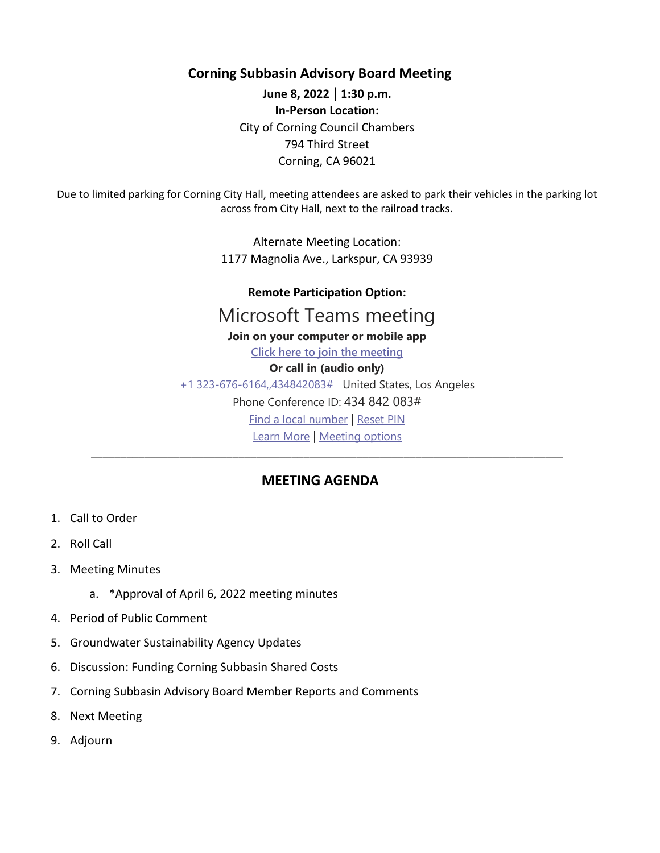**Corning Subbasin Advisory Board Meeting**

**June 8, 2022** | **1:30 p.m. In-Person Location:**  City of Corning Council Chambers 794 Third Street Corning, CA 96021

Due to limited parking for Corning City Hall, meeting attendees are asked to park their vehicles in the parking lot across from City Hall, next to the railroad tracks.

> Alternate Meeting Location: 1177 Magnolia Ave., Larkspur, CA 93939

## **Remote Participation Option:**

## Microsoft Teams meeting

## **Join on your computer or mobile app**

**Click here to join the meeting Or call in (audio only)**

+1 323-676-6164,,434842083# United States, Los Angeles Phone Conference ID: 434 842 083# Find a local number | Reset PIN

Learn More | Meeting options \_\_\_\_\_\_\_\_\_\_\_\_\_\_\_\_\_\_\_\_\_\_\_\_\_\_\_\_\_\_\_\_\_\_\_\_\_\_\_\_\_\_\_\_\_\_\_\_\_\_\_\_\_\_\_\_\_\_\_\_\_\_\_\_\_\_\_\_\_\_\_\_\_\_\_\_\_\_\_\_

## **MEETING AGENDA**

- 1. Call to Order
- 2. Roll Call
- 3. Meeting Minutes
	- a. \*Approval of April 6, 2022 meeting minutes
- 4. Period of Public Comment
- 5. Groundwater Sustainability Agency Updates
- 6. Discussion: Funding Corning Subbasin Shared Costs
- 7. Corning Subbasin Advisory Board Member Reports and Comments
- 8. Next Meeting
- 9. Adjourn